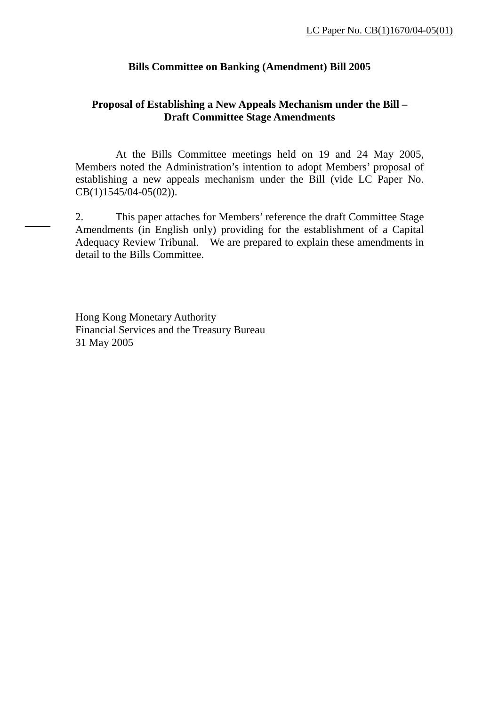# **Bills Committee on Banking (Amendment) Bill 2005**

# **Proposal of Establishing a New Appeals Mechanism under the Bill – Draft Committee Stage Amendments**

 At the Bills Committee meetings held on 19 and 24 May 2005, Members noted the Administration's intention to adopt Members' proposal of establishing a new appeals mechanism under the Bill (vide LC Paper No. CB(1)1545/04-05(02)).

2. This paper attaches for Members' reference the draft Committee Stage Amendments (in English only) providing for the establishment of a Capital Adequacy Review Tribunal. We are prepared to explain these amendments in detail to the Bills Committee.

Hong Kong Monetary Authority Financial Services and the Treasury Bureau 31 May 2005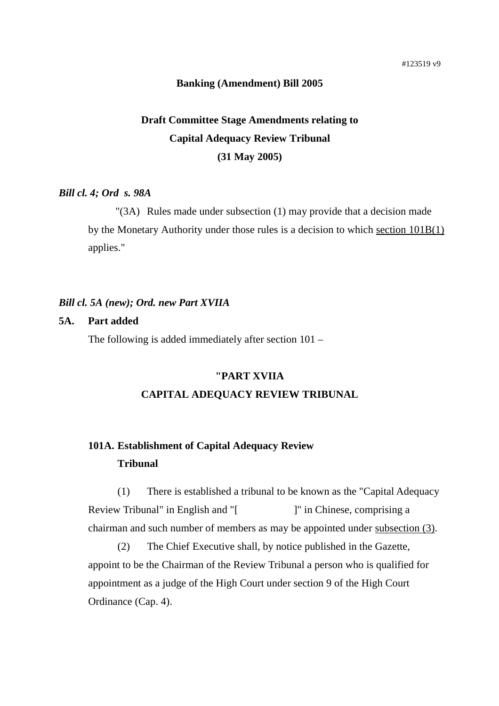## **Banking (Amendment) Bill 2005**

# **Draft Committee Stage Amendments relating to Capital Adequacy Review Tribunal (31 May 2005)**

# *Bill cl. 4; Ord s. 98A*

"(3A) Rules made under subsection (1) may provide that a decision made by the Monetary Authority under those rules is a decision to which section 101B(1) applies."

#### *Bill cl. 5A (new); Ord. new Part XVIIA*

#### **5A. Part added**

The following is added immediately after section 101 –

## **"PART XVIIA**

#### **CAPITAL ADEQUACY REVIEW TRIBUNAL**

# **101A. Establishment of Capital Adequacy Review Tribunal**

 (1) There is established a tribunal to be known as the "Capital Adequacy Review Tribunal" in English and "[ ]" in Chinese, comprising a chairman and such number of members as may be appointed under subsection (3).

(2) The Chief Executive shall, by notice published in the Gazette, appoint to be the Chairman of the Review Tribunal a person who is qualified for appointment as a judge of the High Court under section 9 of the High Court Ordinance (Cap. 4).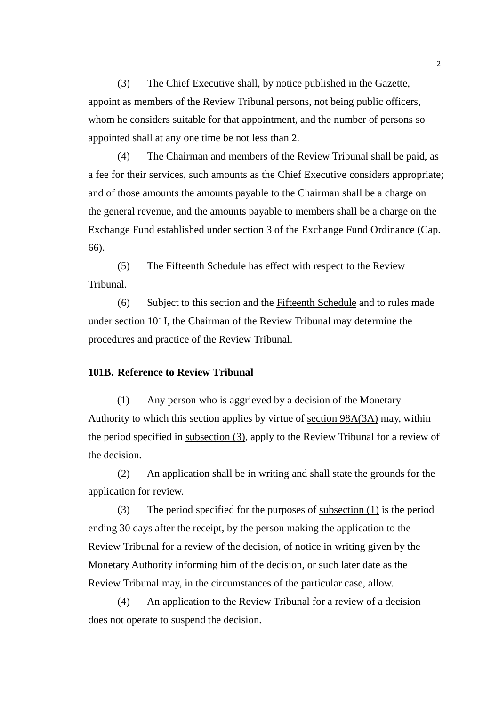(3) The Chief Executive shall, by notice published in the Gazette, appoint as members of the Review Tribunal persons, not being public officers, whom he considers suitable for that appointment, and the number of persons so appointed shall at any one time be not less than 2.

 (4) The Chairman and members of the Review Tribunal shall be paid, as a fee for their services, such amounts as the Chief Executive considers appropriate; and of those amounts the amounts payable to the Chairman shall be a charge on the general revenue, and the amounts payable to members shall be a charge on the Exchange Fund established under section 3 of the Exchange Fund Ordinance (Cap. 66).

 (5) The Fifteenth Schedule has effect with respect to the Review Tribunal.

 (6) Subject to this section and the Fifteenth Schedule and to rules made under section 101I, the Chairman of the Review Tribunal may determine the procedures and practice of the Review Tribunal.

#### **101B. Reference to Review Tribunal**

(1) Any person who is aggrieved by a decision of the Monetary Authority to which this section applies by virtue of section 98A(3A) may, within the period specified in subsection (3), apply to the Review Tribunal for a review of the decision.

 (2) An application shall be in writing and shall state the grounds for the application for review.

(3) The period specified for the purposes of <u>subsection  $(1)$ </u> is the period ending 30 days after the receipt, by the person making the application to the Review Tribunal for a review of the decision, of notice in writing given by the Monetary Authority informing him of the decision, or such later date as the Review Tribunal may, in the circumstances of the particular case, allow.

 (4) An application to the Review Tribunal for a review of a decision does not operate to suspend the decision.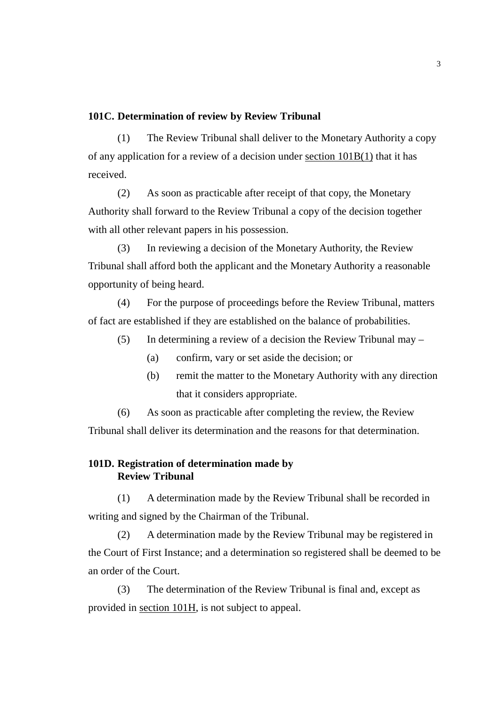## **101C. Determination of review by Review Tribunal**

 (1) The Review Tribunal shall deliver to the Monetary Authority a copy of any application for a review of a decision under section 101B(1) that it has received.

 (2) As soon as practicable after receipt of that copy, the Monetary Authority shall forward to the Review Tribunal a copy of the decision together with all other relevant papers in his possession.

 (3) In reviewing a decision of the Monetary Authority, the Review Tribunal shall afford both the applicant and the Monetary Authority a reasonable opportunity of being heard.

 (4) For the purpose of proceedings before the Review Tribunal, matters of fact are established if they are established on the balance of probabilities.

- (5) In determining a review of a decision the Review Tribunal may
	- (a) confirm, vary or set aside the decision; or
	- (b) remit the matter to the Monetary Authority with any direction that it considers appropriate.

 (6) As soon as practicable after completing the review, the Review Tribunal shall deliver its determination and the reasons for that determination.

# **101D. Registration of determination made by Review Tribunal**

 (1) A determination made by the Review Tribunal shall be recorded in writing and signed by the Chairman of the Tribunal.

 (2) A determination made by the Review Tribunal may be registered in the Court of First Instance; and a determination so registered shall be deemed to be an order of the Court.

 (3) The determination of the Review Tribunal is final and, except as provided in section 101H, is not subject to appeal.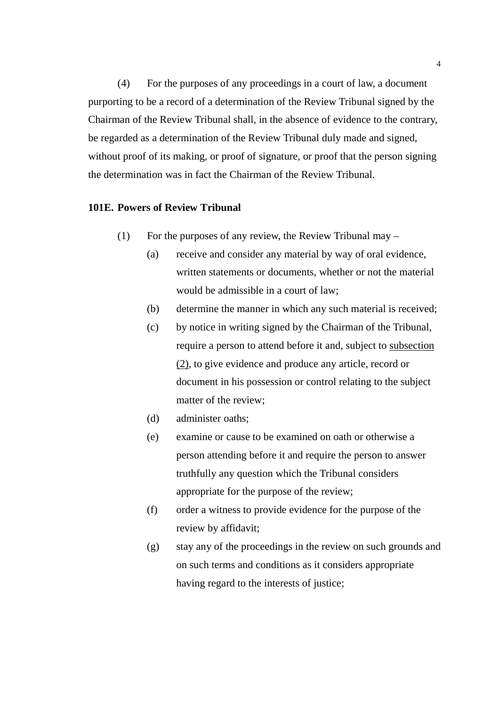(4) For the purposes of any proceedings in a court of law, a document purporting to be a record of a determination of the Review Tribunal signed by the Chairman of the Review Tribunal shall, in the absence of evidence to the contrary, be regarded as a determination of the Review Tribunal duly made and signed, without proof of its making, or proof of signature, or proof that the person signing the determination was in fact the Chairman of the Review Tribunal.

## **101E. Powers of Review Tribunal**

- (1) For the purposes of any review, the Review Tribunal may  $-$ 
	- (a) receive and consider any material by way of oral evidence, written statements or documents, whether or not the material would be admissible in a court of law;
	- (b) determine the manner in which any such material is received;
	- (c) by notice in writing signed by the Chairman of the Tribunal, require a person to attend before it and, subject to subsection (2), to give evidence and produce any article, record or document in his possession or control relating to the subject matter of the review;
	- (d) administer oaths;
	- (e) examine or cause to be examined on oath or otherwise a person attending before it and require the person to answer truthfully any question which the Tribunal considers appropriate for the purpose of the review;
	- (f) order a witness to provide evidence for the purpose of the review by affidavit;
	- (g) stay any of the proceedings in the review on such grounds and on such terms and conditions as it considers appropriate having regard to the interests of justice;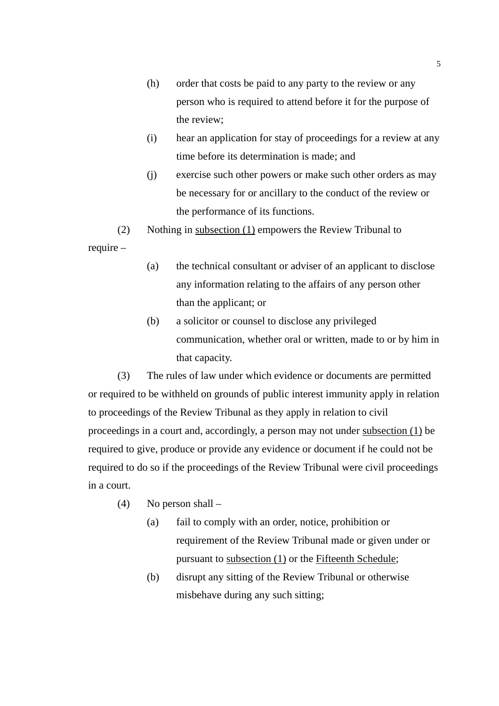- (h) order that costs be paid to any party to the review or any person who is required to attend before it for the purpose of the review;
- (i) hear an application for stay of proceedings for a review at any time before its determination is made; and
- (j) exercise such other powers or make such other orders as may be necessary for or ancillary to the conduct of the review or the performance of its functions.
- (2) Nothing in subsection (1) empowers the Review Tribunal to

require –

- (a) the technical consultant or adviser of an applicant to disclose any information relating to the affairs of any person other than the applicant; or
- (b) a solicitor or counsel to disclose any privileged communication, whether oral or written, made to or by him in that capacity.

 (3) The rules of law under which evidence or documents are permitted or required to be withheld on grounds of public interest immunity apply in relation to proceedings of the Review Tribunal as they apply in relation to civil proceedings in a court and, accordingly, a person may not under subsection (1) be required to give, produce or provide any evidence or document if he could not be required to do so if the proceedings of the Review Tribunal were civil proceedings in a court.

- (4) No person shall
	- (a) fail to comply with an order, notice, prohibition or requirement of the Review Tribunal made or given under or pursuant to subsection (1) or the Fifteenth Schedule;
	- (b) disrupt any sitting of the Review Tribunal or otherwise misbehave during any such sitting;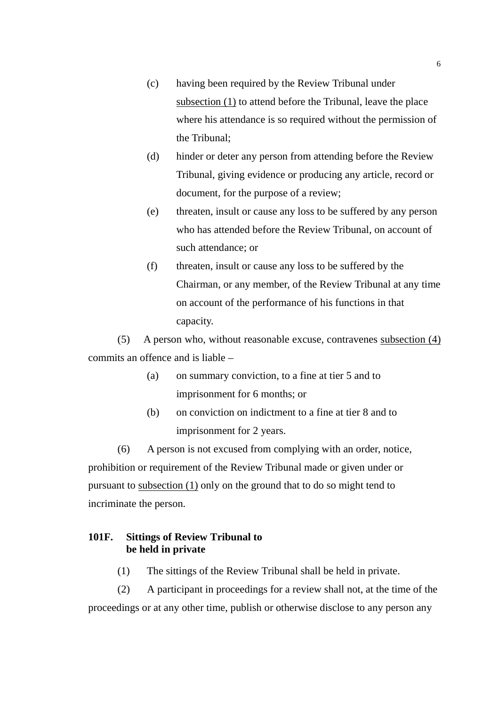- (c) having been required by the Review Tribunal under subsection (1) to attend before the Tribunal, leave the place where his attendance is so required without the permission of the Tribunal;
- (d) hinder or deter any person from attending before the Review Tribunal, giving evidence or producing any article, record or document, for the purpose of a review;
- (e) threaten, insult or cause any loss to be suffered by any person who has attended before the Review Tribunal, on account of such attendance; or
- (f) threaten, insult or cause any loss to be suffered by the Chairman, or any member, of the Review Tribunal at any time on account of the performance of his functions in that capacity.

 (5) A person who, without reasonable excuse, contravenes subsection (4) commits an offence and is liable –

- (a) on summary conviction, to a fine at tier 5 and to imprisonment for 6 months; or
- (b) on conviction on indictment to a fine at tier 8 and to imprisonment for 2 years.

 (6) A person is not excused from complying with an order, notice, prohibition or requirement of the Review Tribunal made or given under or pursuant to subsection  $(1)$  only on the ground that to do so might tend to incriminate the person.

# **101F. Sittings of Review Tribunal to be held in private**

(1) The sittings of the Review Tribunal shall be held in private.

(2) A participant in proceedings for a review shall not, at the time of the proceedings or at any other time, publish or otherwise disclose to any person any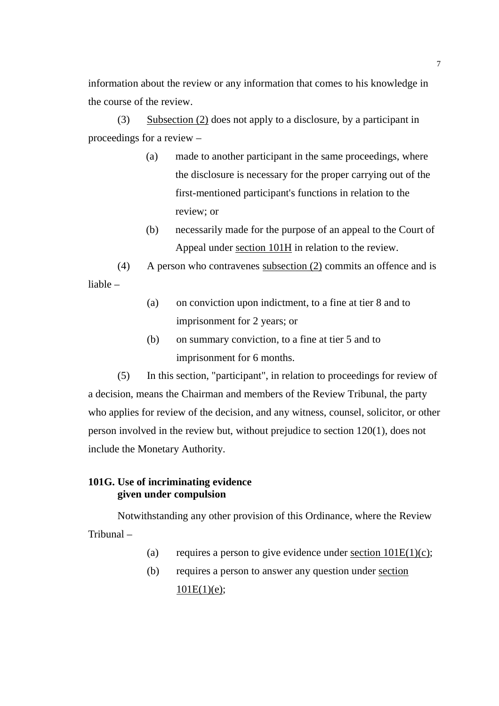information about the review or any information that comes to his knowledge in the course of the review.

(3) Subsection (2) does not apply to a disclosure, by a participant in proceedings for a review –

- (a) made to another participant in the same proceedings, where the disclosure is necessary for the proper carrying out of the first-mentioned participant's functions in relation to the review; or
- (b) necessarily made for the purpose of an appeal to the Court of Appeal under section 101H in relation to the review.

(4) A person who contravenes subsection (2) commits an offence and is liable –

- (a) on conviction upon indictment, to a fine at tier 8 and to imprisonment for 2 years; or
- (b) on summary conviction, to a fine at tier 5 and to imprisonment for 6 months.

(5) In this section, "participant", in relation to proceedings for review of a decision, means the Chairman and members of the Review Tribunal, the party who applies for review of the decision, and any witness, counsel, solicitor, or other person involved in the review but, without prejudice to section 120(1), does not include the Monetary Authority.

# **101G. Use of incriminating evidence given under compulsion**

Notwithstanding any other provision of this Ordinance, where the Review Tribunal –

- (a) requires a person to give evidence under <u>section  $101E(1)(c)$ </u>;
- (b) requires a person to answer any question under section  $101E(1)(e);$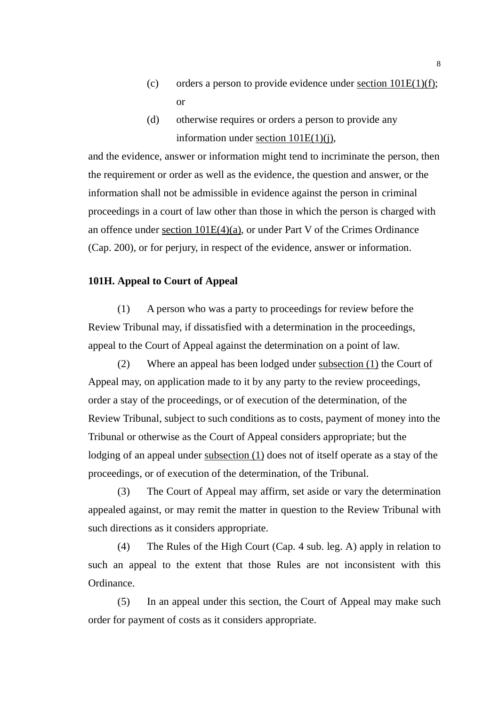- (c) orders a person to provide evidence under section  $101E(1)(f)$ ; or
- (d) otherwise requires or orders a person to provide any information under section 101E(1)(j),

and the evidence, answer or information might tend to incriminate the person, then the requirement or order as well as the evidence, the question and answer, or the information shall not be admissible in evidence against the person in criminal proceedings in a court of law other than those in which the person is charged with an offence under section 101E(4)(a), or under Part V of the Crimes Ordinance (Cap. 200), or for perjury, in respect of the evidence, answer or information.

# **101H. Appeal to Court of Appeal**

(1) A person who was a party to proceedings for review before the Review Tribunal may, if dissatisfied with a determination in the proceedings, appeal to the Court of Appeal against the determination on a point of law.

(2) Where an appeal has been lodged under subsection (1) the Court of Appeal may, on application made to it by any party to the review proceedings, order a stay of the proceedings, or of execution of the determination, of the Review Tribunal, subject to such conditions as to costs, payment of money into the Tribunal or otherwise as the Court of Appeal considers appropriate; but the lodging of an appeal under subsection (1) does not of itself operate as a stay of the proceedings, or of execution of the determination, of the Tribunal.

 (3) The Court of Appeal may affirm, set aside or vary the determination appealed against, or may remit the matter in question to the Review Tribunal with such directions as it considers appropriate.

 (4) The Rules of the High Court (Cap. 4 sub. leg. A) apply in relation to such an appeal to the extent that those Rules are not inconsistent with this Ordinance.

 (5) In an appeal under this section, the Court of Appeal may make such order for payment of costs as it considers appropriate.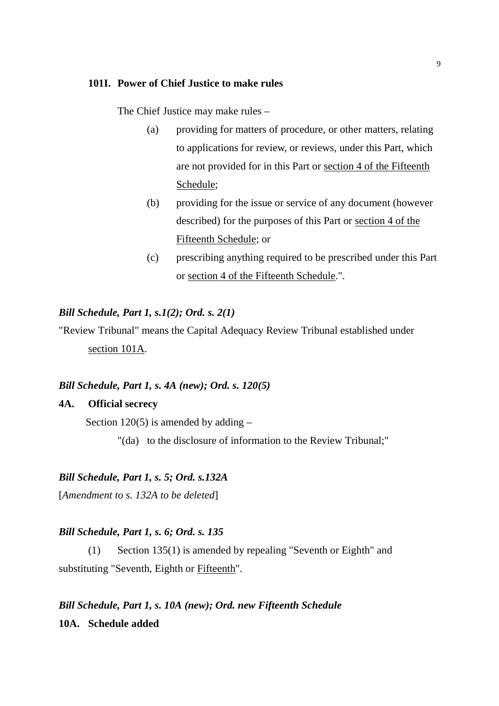#### **101I. Power of Chief Justice to make rules**

The Chief Justice may make rules –

- (a) providing for matters of procedure, or other matters, relating to applications for review, or reviews, under this Part, which are not provided for in this Part or section 4 of the Fifteenth Schedule;
- (b) providing for the issue or service of any document (however described) for the purposes of this Part or section 4 of the Fifteenth Schedule; or
- (c) prescribing anything required to be prescribed under this Part or section 4 of the Fifteenth Schedule.".

#### *Bill Schedule, Part 1, s.1(2); Ord. s. 2(1)*

"Review Tribunal" means the Capital Adequacy Review Tribunal established under section 101A.

#### *Bill Schedule, Part 1, s. 4A (new); Ord. s. 120(5)*

## **4A. Official secrecy**

Section  $120(5)$  is amended by adding  $-$ 

"(da) to the disclosure of information to the Review Tribunal;"

## *Bill Schedule, Part 1, s. 5; Ord. s.132A*

[*Amendment to s. 132A to be deleted*]

#### *Bill Schedule, Part 1, s. 6; Ord. s. 135*

(1) Section 135(1) is amended by repealing "Seventh or Eighth" and substituting "Seventh, Eighth or Fifteenth".

*Bill Schedule, Part 1, s. 10A (new); Ord. new Fifteenth Schedule*  **10A. Schedule added**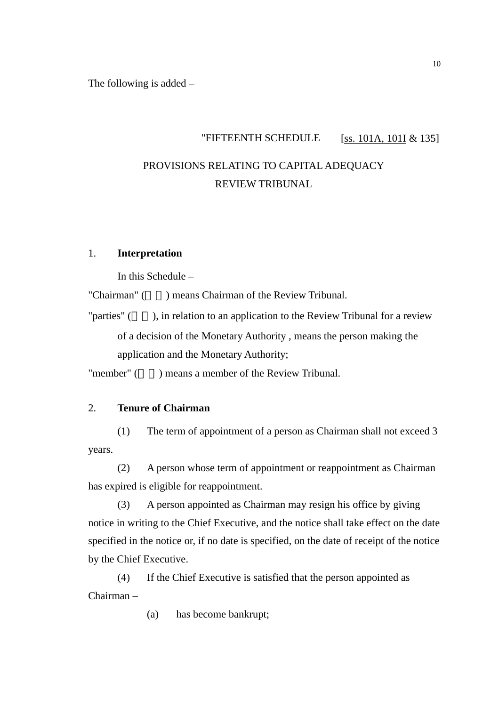The following is added –

# "FIFTEENTH SCHEDULE [ss.  $101A$ ,  $101I \& 135$ ] PROVISIONS RELATING TO CAPITAL ADEQUACY REVIEW TRIBUNAL

# 1. **Interpretation**

In this Schedule –

"Chairman" (n) means Chairman of the Review Tribunal.

"parties" (), in relation to an application to the Review Tribunal for a review of a decision of the Monetary Authority , means the person making the application and the Monetary Authority;

"member" () means a member of the Review Tribunal.

# 2. **Tenure of Chairman**

(1) The term of appointment of a person as Chairman shall not exceed 3 years.

(2) A person whose term of appointment or reappointment as Chairman has expired is eligible for reappointment.

(3) A person appointed as Chairman may resign his office by giving notice in writing to the Chief Executive, and the notice shall take effect on the date specified in the notice or, if no date is specified, on the date of receipt of the notice by the Chief Executive.

(4) If the Chief Executive is satisfied that the person appointed as Chairman –

(a) has become bankrupt;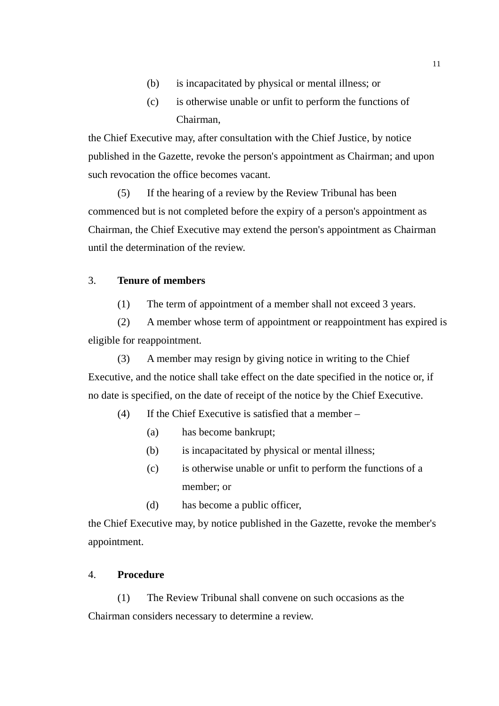- (b) is incapacitated by physical or mental illness; or
- (c) is otherwise unable or unfit to perform the functions of Chairman,

the Chief Executive may, after consultation with the Chief Justice, by notice published in the Gazette, revoke the person's appointment as Chairman; and upon such revocation the office becomes vacant.

(5) If the hearing of a review by the Review Tribunal has been commenced but is not completed before the expiry of a person's appointment as Chairman, the Chief Executive may extend the person's appointment as Chairman until the determination of the review.

# 3. **Tenure of members**

(1) The term of appointment of a member shall not exceed 3 years.

(2) A member whose term of appointment or reappointment has expired is eligible for reappointment.

(3) A member may resign by giving notice in writing to the Chief Executive, and the notice shall take effect on the date specified in the notice or, if no date is specified, on the date of receipt of the notice by the Chief Executive.

- (4) If the Chief Executive is satisfied that a member
	- (a) has become bankrupt;
	- (b) is incapacitated by physical or mental illness;
	- (c) is otherwise unable or unfit to perform the functions of a member; or
	- (d) has become a public officer,

the Chief Executive may, by notice published in the Gazette, revoke the member's appointment.

# 4. **Procedure**

(1) The Review Tribunal shall convene on such occasions as the Chairman considers necessary to determine a review.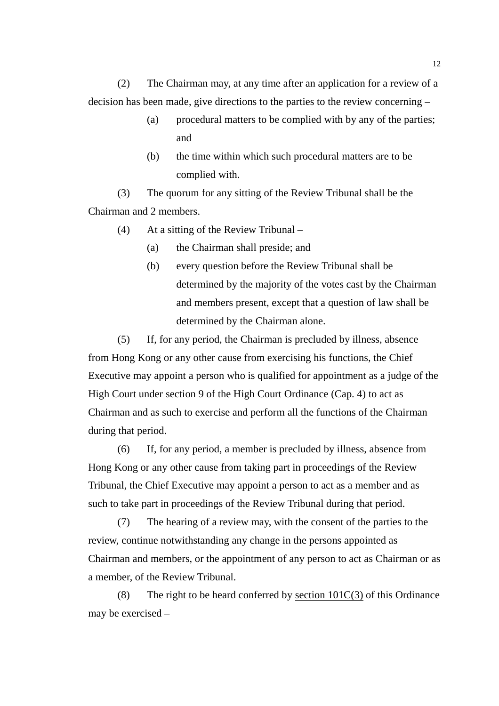(2) The Chairman may, at any time after an application for a review of a decision has been made, give directions to the parties to the review concerning –

- (a) procedural matters to be complied with by any of the parties; and
- (b) the time within which such procedural matters are to be complied with.

(3) The quorum for any sitting of the Review Tribunal shall be the Chairman and 2 members.

- (4) At a sitting of the Review Tribunal
	- (a) the Chairman shall preside; and
	- (b) every question before the Review Tribunal shall be determined by the majority of the votes cast by the Chairman and members present, except that a question of law shall be determined by the Chairman alone.

(5) If, for any period, the Chairman is precluded by illness, absence from Hong Kong or any other cause from exercising his functions, the Chief Executive may appoint a person who is qualified for appointment as a judge of the High Court under section 9 of the High Court Ordinance (Cap. 4) to act as Chairman and as such to exercise and perform all the functions of the Chairman during that period.

(6) If, for any period, a member is precluded by illness, absence from Hong Kong or any other cause from taking part in proceedings of the Review Tribunal, the Chief Executive may appoint a person to act as a member and as such to take part in proceedings of the Review Tribunal during that period.

(7) The hearing of a review may, with the consent of the parties to the review, continue notwithstanding any change in the persons appointed as Chairman and members, or the appointment of any person to act as Chairman or as a member, of the Review Tribunal.

(8) The right to be heard conferred by section  $101C(3)$  of this Ordinance may be exercised –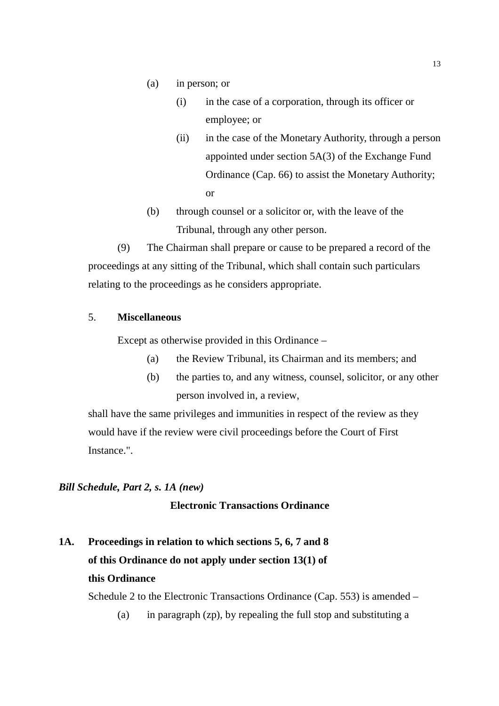- (a) in person; or
	- (i) in the case of a corporation, through its officer or employee; or
	- (ii) in the case of the Monetary Authority, through a person appointed under section 5A(3) of the Exchange Fund Ordinance (Cap. 66) to assist the Monetary Authority; or
- (b) through counsel or a solicitor or, with the leave of the Tribunal, through any other person.

(9) The Chairman shall prepare or cause to be prepared a record of the proceedings at any sitting of the Tribunal, which shall contain such particulars relating to the proceedings as he considers appropriate.

# 5. **Miscellaneous**

Except as otherwise provided in this Ordinance –

- (a) the Review Tribunal, its Chairman and its members; and
- (b) the parties to, and any witness, counsel, solicitor, or any other person involved in, a review,

shall have the same privileges and immunities in respect of the review as they would have if the review were civil proceedings before the Court of First Instance.".

## *Bill Schedule, Part 2, s. 1A (new)*

# **Electronic Transactions Ordinance**

**1A. Proceedings in relation to which sections 5, 6, 7 and 8 of this Ordinance do not apply under section 13(1) of this Ordinance** 

Schedule 2 to the Electronic Transactions Ordinance (Cap. 553) is amended –

(a) in paragraph (zp), by repealing the full stop and substituting a